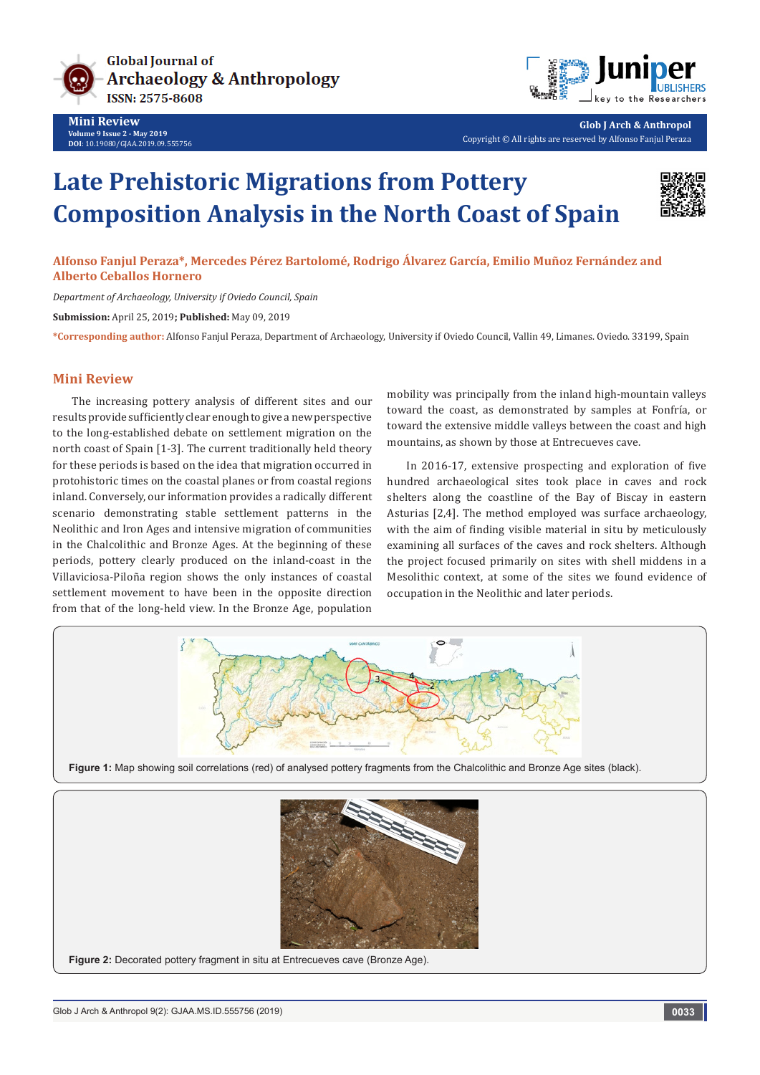

**Mini Review Volume 9 Issue 2 - May 2019 DOI**: [10.19080/GJAA.2019.09.555756](http://dx.doi.org/10.19080/GJAA.2019.09.555756)



**Glob J Arch & Anthropol** Copyright © All rights are reserved by Alfonso Fanjul Peraza

# **Late Prehistoric Migrations from Pottery Composition Analysis in the North Coast of Spain**



## **Alfonso Fanjul Peraza\*, Mercedes Pérez Bartolomé, Rodrigo Álvarez García, Emilio Muñoz Fernández and Alberto Ceballos Hornero**

*Department of Archaeology, University if Oviedo Council, Spain*

**Submission:** April 25, 2019**; Published:** May 09, 2019

**\*Corresponding author:** Alfonso Fanjul Peraza, Department of Archaeology, University if Oviedo Council, Vallin 49, Limanes. Oviedo. 33199, Spain

### **Mini Review**

The increasing pottery analysis of different sites and our results provide sufficiently clear enough to give a new perspective to the long-established debate on settlement migration on the north coast of Spain [1-3]. The current traditionally held theory for these periods is based on the idea that migration occurred in protohistoric times on the coastal planes or from coastal regions inland. Conversely, our information provides a radically different scenario demonstrating stable settlement patterns in the Neolithic and Iron Ages and intensive migration of communities in the Chalcolithic and Bronze Ages. At the beginning of these periods, pottery clearly produced on the inland-coast in the Villaviciosa-Piloña region shows the only instances of coastal settlement movement to have been in the opposite direction from that of the long-held view. In the Bronze Age, population

mobility was principally from the inland high-mountain valleys toward the coast, as demonstrated by samples at Fonfría, or toward the extensive middle valleys between the coast and high mountains, as shown by those at Entrecueves cave.

In 2016-17, extensive prospecting and exploration of five hundred archaeological sites took place in caves and rock shelters along the coastline of the Bay of Biscay in eastern Asturias [2,4]. The method employed was surface archaeology, with the aim of finding visible material in situ by meticulously examining all surfaces of the caves and rock shelters. Although the project focused primarily on sites with shell middens in a Mesolithic context, at some of the sites we found evidence of occupation in the Neolithic and later periods.





**Figure 2:** Decorated pottery fragment in situ at Entrecueves cave (Bronze Age).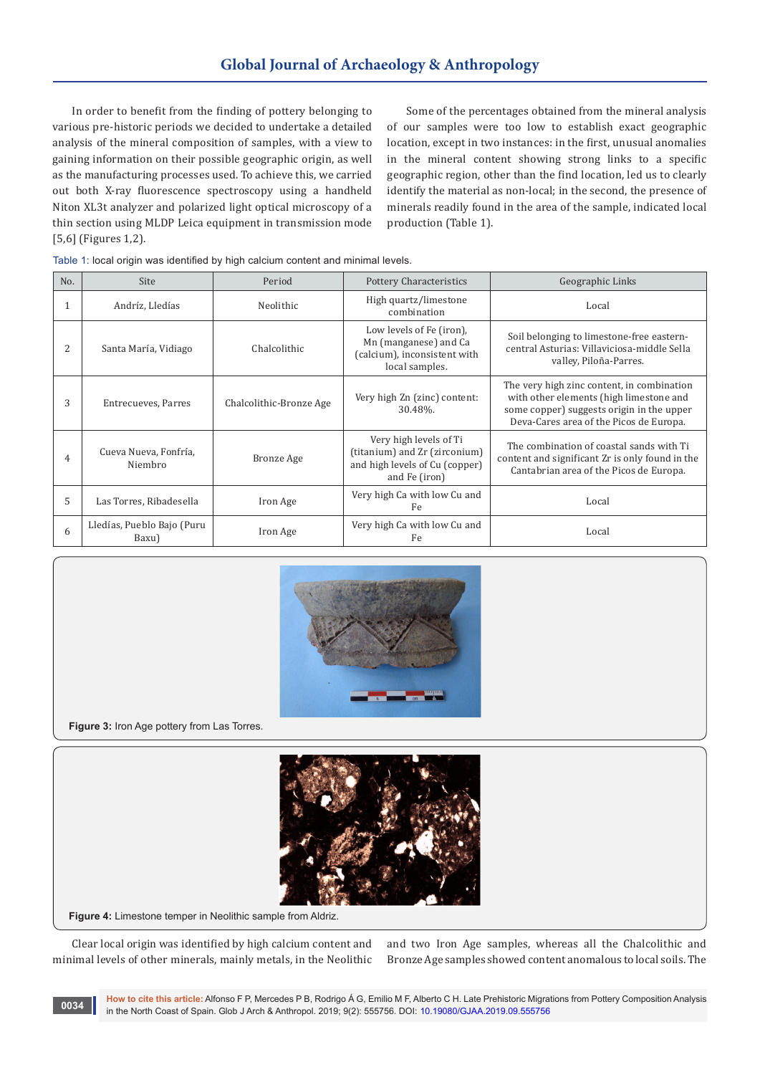In order to benefit from the finding of pottery belonging to various pre-historic periods we decided to undertake a detailed analysis of the mineral composition of samples, with a view to gaining information on their possible geographic origin, as well as the manufacturing processes used. To achieve this, we carried out both X-ray fluorescence spectroscopy using a handheld Niton XL3t analyzer and polarized light optical microscopy of a thin section using MLDP Leica equipment in transmission mode [5,6] (Figures 1,2).

Some of the percentages obtained from the mineral analysis of our samples were too low to establish exact geographic location, except in two instances: in the first, unusual anomalies in the mineral content showing strong links to a specific geographic region, other than the find location, led us to clearly identify the material as non-local; in the second, the presence of minerals readily found in the area of the sample, indicated local production (Table 1).

|  |  | Table 1: local origin was identified by high calcium content and minimal levels. |  |  |  |  |  |
|--|--|----------------------------------------------------------------------------------|--|--|--|--|--|
|--|--|----------------------------------------------------------------------------------|--|--|--|--|--|

| No.          | Site                                | Period                  | <b>Pottery Characteristics</b>                                                                             | Geographic Links                                                                                                                                                              |  |
|--------------|-------------------------------------|-------------------------|------------------------------------------------------------------------------------------------------------|-------------------------------------------------------------------------------------------------------------------------------------------------------------------------------|--|
| $\mathbf{1}$ | Andríz, Lledías                     | Neolithic               | High quartz/limestone<br>combination                                                                       | Local                                                                                                                                                                         |  |
| 2            | Santa María, Vidiago                | Chalcolithic            | Low levels of Fe (iron),<br>Mn (manganese) and Ca<br>(calcium), inconsistent with<br>local samples.        | Soil belonging to limestone-free eastern-<br>central Asturias: Villaviciosa-middle Sella<br>valley, Piloña-Parres.                                                            |  |
| 3            | Entrecueves, Parres                 | Chalcolithic-Bronze Age | Very high Zn (zinc) content:<br>30.48%.                                                                    | The very high zinc content, in combination<br>with other elements (high limestone and<br>some copper) suggests origin in the upper<br>Deva-Cares area of the Picos de Europa. |  |
| 4            | Cueva Nueva, Fonfría,<br>Niembro    | Bronze Age              | Very high levels of Ti<br>(titanium) and Zr (zirconium)<br>and high levels of Cu (copper)<br>and Fe (iron) | The combination of coastal sands with Ti<br>content and significant Zr is only found in the<br>Cantabrian area of the Picos de Europa.                                        |  |
| 5            | Las Torres, Ribadesella             | Iron Age                | Very high Ca with low Cu and<br>Fe.                                                                        | Local                                                                                                                                                                         |  |
| 6            | Lledías, Pueblo Bajo (Puru<br>Baxu) | Iron Age                | Very high Ca with low Cu and<br>Fe                                                                         | Local                                                                                                                                                                         |  |



**Figure 3:** Iron Age pottery from Las Torres.



**Figure 4:** Limestone temper in Neolithic sample from Aldriz.

Clear local origin was identified by high calcium content and minimal levels of other minerals, mainly metals, in the Neolithic

and two Iron Age samples, whereas all the Chalcolithic and Bronze Age samples showed content anomalous to local soils. The

**How to cite this article:** Alfonso F P, Mercedes P B, Rodrigo Á G, Emilio M F, Alberto C H. Late Prehistoric Migrations from Pottery Composition Analysis in the North Coast of Spain. Glob J Arch & Anthropol. 2019; 9(2): 555756. DOI: [10.19080/GJAA.2019.09.555756](http://dx.doi.org/10.19080/GJAA.2019.09.555756) **<sup>0034</sup>**